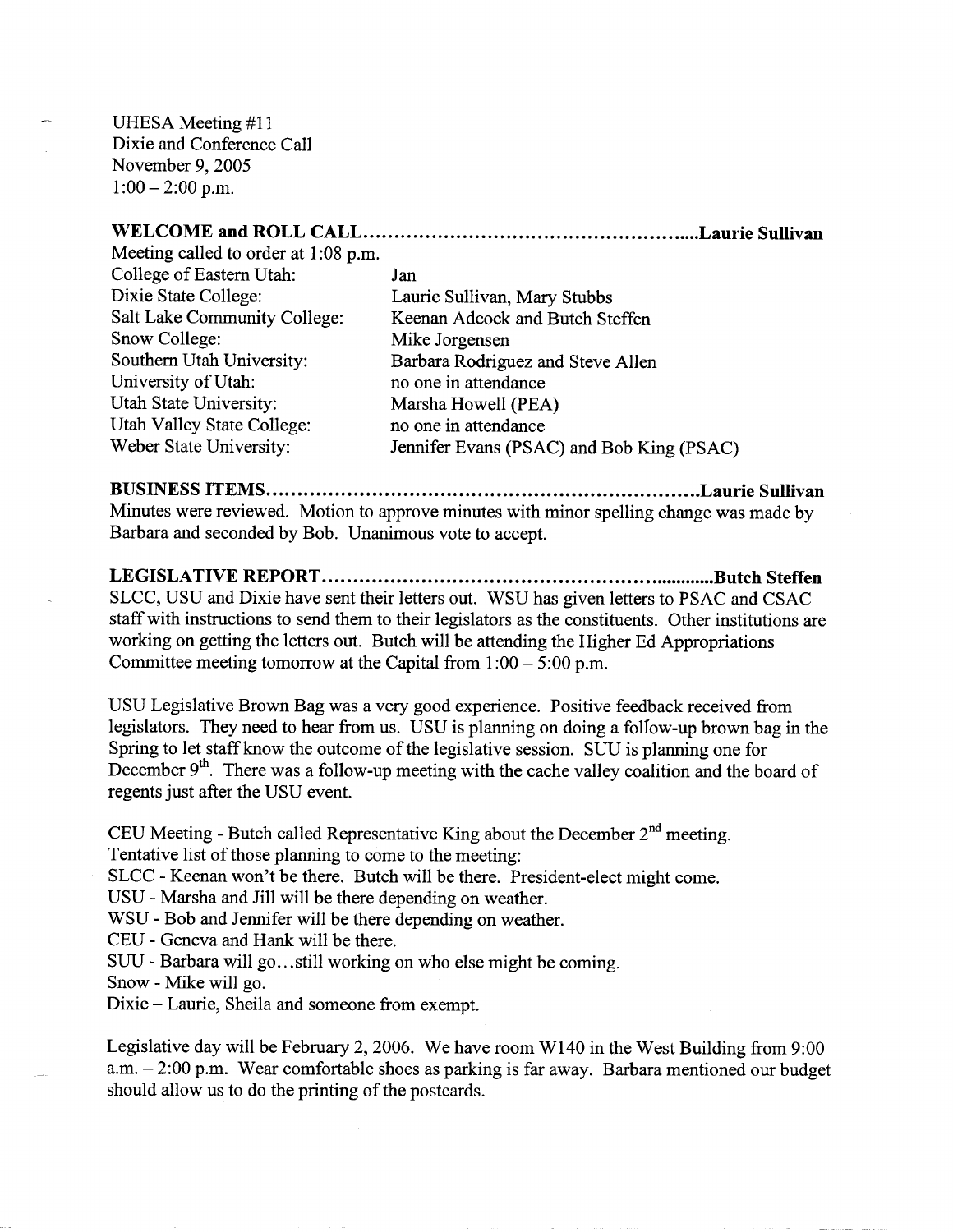UHESA Meeting #11 Dixie and Conference Call November 9, 2005  $1:00-2:00$  p.m.

## **WELCOME and ROLL CALL Laurie Sullivan**

Meeting called to order at 1:08 p.m. College of Eastern Utah: Jan<br>Dixie State College: Lau Dixie State College: Laurie Sullivan, Mary Stubbs<br>
Salt Lake Community College: Keenan Adcock and Butch Sto Snow College: Mike Jorgensen Southern Utah University: Barbara Rodriguez and Steve Allen University of Utah: no one in attendance Utah State University: Marsha Howell (PEA) Utah Valley State College: no one in attendance

Keenan Adcock and Butch Steffen Weber State University: Jennifer Evans (PSAC) and Bob King (PSAC)

## **BUSINESS ITEMS Laurie Sullivan**

Minutes were reviewed. Motion to approve minutes with minor spelling change was made by Barbara and seconded by Bob. Unanimous vote to accept.

**LEGISLATIVE REPORT Butch Steffen** SLCC, USU and Dixie have sent their letters out. WSU has given letters to PSAC and CSAC staff with instructions to send them to their legislators as the constituents. Other institutions are working on getting the letters out. Butch will be attending the Higher Ed Appropriations Committee meeting tomorrow at the Capital from  $1:00 - 5:00$  p.m.

USU Legislative Brown Bag was a very good experience. Positive feedback received from legislators. They need to hear from us. USU is planning on doing a follow-up brown bag in the Spring to let staff know the outcome of the legislative session. SUU is planning one for December  $9<sup>th</sup>$ . There was a follow-up meeting with the cache valley coalition and the board of regents just after the USU event.

CEU Meeting - Butch called Representative King about the December  $2<sup>nd</sup>$  meeting. Tentative list of those planning to come to the meeting:

SLCC - Keenan won't be there. Butch will be there. President-elect might come.

USU - Marsha and Jill will be there depending on weather.

WSU - Bob and Jennifer will be there depending on weather.

CEU - Geneva and Hank will be there.

SUU - Barbara will go...still working on who else might be coming.

Snow - Mike will go.

Dixie - Laurie, Sheila and someone from exempt.

Legislative day will be February 2, 2006. We have room W140 in the West Building from 9:00 a.m. - 2:00 p.m. Wear comfortable shoes as parking is far away. Barbara mentioned our budget should allow us to do the printing of the postcards.